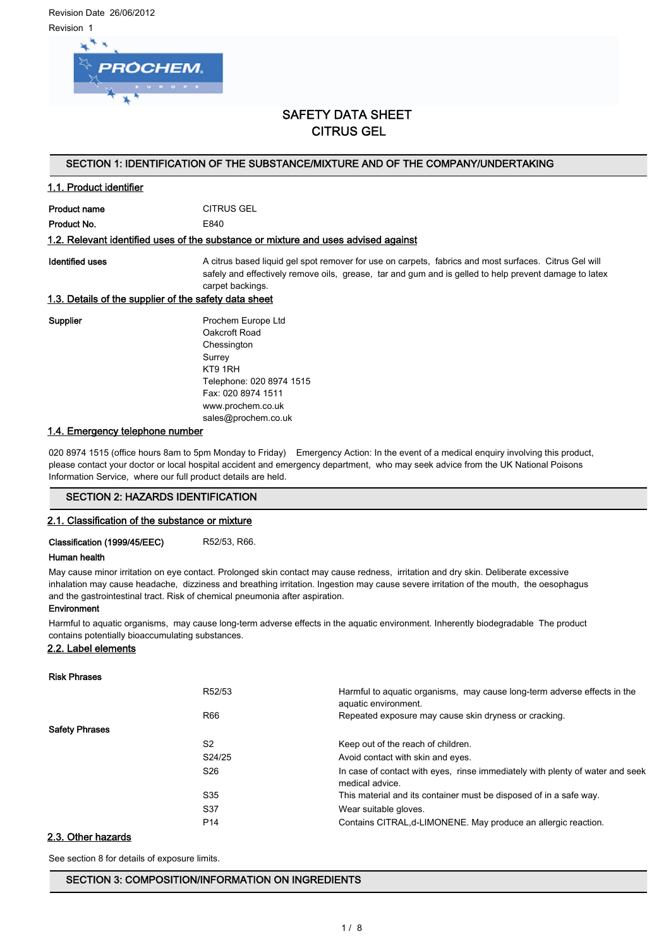Revision Date 26/06/2012 Revision 1



# SAFETY DATA SHEET CITRUS GEL

#### SECTION 1: IDENTIFICATION OF THE SUBSTANCE/MIXTURE AND OF THE COMPANY/UNDERTAKING

## 1.1. Product identifier

Product name CITRUS GEL

Product No. 6840

#### 1.2. Relevant identified uses of the substance or mixture and uses advised against

Identified uses **A** citrus based liquid gel spot remover for use on carpets, fabrics and most surfaces. Citrus Gel will safely and effectively remove oils, grease, tar and gum and is gelled to help prevent damage to latex carpet backings.

#### 1.3. Details of the supplier of the safety data sheet

Supplier **Prochem Europe Ltd** Oakcroft Road Chessington Surrey KT9 1RH Telephone: 020 8974 1515 Fax: 020 8974 1511 www.prochem.co.uk sales@prochem.co.uk

#### 1.4. Emergency telephone number

020 8974 1515 (office hours 8am to 5pm Monday to Friday) Emergency Action: In the event of a medical enquiry involving this product, please contact your doctor or local hospital accident and emergency department, who may seek advice from the UK National Poisons Information Service, where our full product details are held.

## SECTION 2: HAZARDS IDENTIFICATION

#### 2.1. Classification of the substance or mixture

Classification (1999/45/EEC) R52/53, R66.

#### Human health

May cause minor irritation on eye contact. Prolonged skin contact may cause redness, irritation and dry skin. Deliberate excessive inhalation may cause headache, dizziness and breathing irritation. Ingestion may cause severe irritation of the mouth, the oesophagus and the gastrointestinal tract. Risk of chemical pneumonia after aspiration.

#### Environment

Harmful to aquatic organisms, may cause long-term adverse effects in the aquatic environment. Inherently biodegradable The product contains potentially bioaccumulating substances.

#### 2.2. Label elements

| <b>Risk Phrases</b>   |                 |                                                                                                  |
|-----------------------|-----------------|--------------------------------------------------------------------------------------------------|
|                       | R52/53          | Harmful to aquatic organisms, may cause long-term adverse effects in the<br>aquatic environment. |
|                       | R66             | Repeated exposure may cause skin dryness or cracking.                                            |
| <b>Safety Phrases</b> |                 |                                                                                                  |
|                       | S <sub>2</sub>  | Keep out of the reach of children.                                                               |
|                       | S24/25          | Avoid contact with skin and eyes.                                                                |
|                       | S <sub>26</sub> | In case of contact with eyes, rinse immediately with plenty of water and seek<br>medical advice. |
|                       | S <sub>35</sub> | This material and its container must be disposed of in a safe way.                               |
|                       | S37             | Wear suitable gloves.                                                                            |
|                       | P <sub>14</sub> | Contains CITRAL, d-LIMONENE. May produce an allergic reaction.                                   |
|                       |                 |                                                                                                  |

#### 2.3. Other hazards

See section 8 for details of exposure limits.

#### SECTION 3: COMPOSITION/INFORMATION ON INGREDIENTS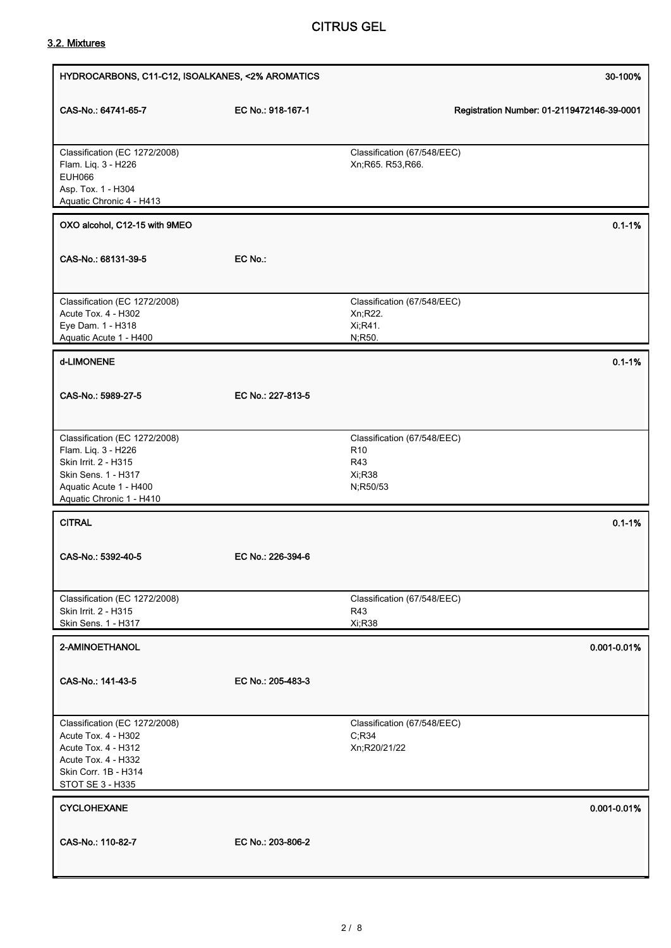# CITRUS GEL

# 3.2. Mixtures

| HYDROCARBONS, C11-C12, ISOALKANES, <2% AROMATICS                                                                                                          |                   |                                                                             | 30-100%                                    |
|-----------------------------------------------------------------------------------------------------------------------------------------------------------|-------------------|-----------------------------------------------------------------------------|--------------------------------------------|
| CAS-No.: 64741-65-7                                                                                                                                       | EC No.: 918-167-1 |                                                                             | Registration Number: 01-2119472146-39-0001 |
| Classification (EC 1272/2008)<br>Flam. Liq. 3 - H226<br><b>EUH066</b><br>Asp. Tox. 1 - H304<br>Aquatic Chronic 4 - H413                                   |                   | Classification (67/548/EEC)<br>Xn;R65. R53,R66.                             |                                            |
| OXO alcohol, C12-15 with 9MEO                                                                                                                             |                   |                                                                             | $0.1 - 1%$                                 |
| CAS-No.: 68131-39-5                                                                                                                                       | EC No.:           |                                                                             |                                            |
| Classification (EC 1272/2008)<br>Acute Tox. 4 - H302<br>Eye Dam. 1 - H318<br>Aquatic Acute 1 - H400                                                       |                   | Classification (67/548/EEC)<br>Xn;R22.<br>Xi, R41.<br>N;R50.                |                                            |
| d-LIMONENE                                                                                                                                                |                   |                                                                             | $0.1 - 1%$                                 |
| CAS-No.: 5989-27-5                                                                                                                                        | EC No.: 227-813-5 |                                                                             |                                            |
| Classification (EC 1272/2008)<br>Flam. Liq. 3 - H226<br>Skin Irrit. 2 - H315<br>Skin Sens. 1 - H317<br>Aquatic Acute 1 - H400<br>Aquatic Chronic 1 - H410 |                   | Classification (67/548/EEC)<br>R <sub>10</sub><br>R43<br>Xi;R38<br>N;R50/53 |                                            |
| <b>CITRAL</b>                                                                                                                                             |                   |                                                                             | $0.1 - 1%$                                 |
| CAS-No.: 5392-40-5                                                                                                                                        | EC No.: 226-394-6 |                                                                             |                                            |
| Classification (EC 1272/2008)<br>Skin Irrit. 2 - H315<br>Skin Sens. 1 - H317                                                                              |                   | Classification (67/548/EEC)<br>R43<br>Xi;R38                                |                                            |
| 2-AMINOETHANOL                                                                                                                                            |                   |                                                                             | 0.001-0.01%                                |
| CAS-No.: 141-43-5                                                                                                                                         | EC No.: 205-483-3 |                                                                             |                                            |
| Classification (EC 1272/2008)<br>Acute Tox. 4 - H302<br>Acute Tox. 4 - H312<br>Acute Tox. 4 - H332<br>Skin Corr. 1B - H314<br>STOT SE 3 - H335            |                   | Classification (67/548/EEC)<br>C; R34<br>Xn;R20/21/22                       |                                            |
| <b>CYCLOHEXANE</b>                                                                                                                                        |                   |                                                                             | 0.001-0.01%                                |
| CAS-No.: 110-82-7                                                                                                                                         | EC No.: 203-806-2 |                                                                             |                                            |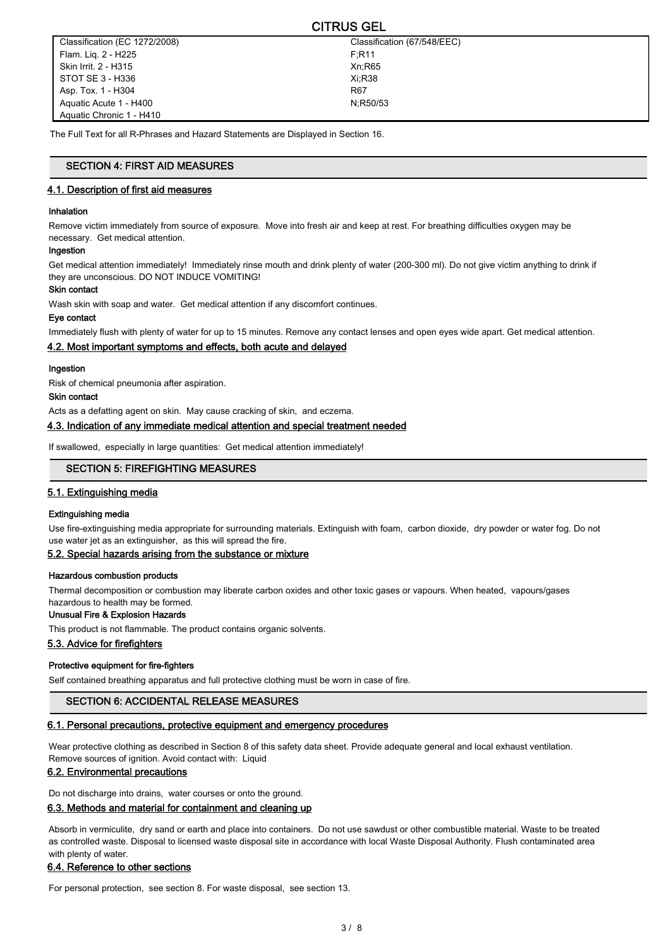| ---------                     |                             |  |
|-------------------------------|-----------------------------|--|
| Classification (EC 1272/2008) | Classification (67/548/EEC) |  |
| Flam. Lig. 2 - H225           | F:R11                       |  |
| Skin Irrit. 2 - H315          | Xn:R65                      |  |
| STOT SE 3 - H336              | Xi:R38                      |  |
| Asp. Tox. 1 - H304            | R67                         |  |
| Aquatic Acute 1 - H400        | N:R50/53                    |  |
| Aquatic Chronic 1 - H410      |                             |  |

CITRUS GEL

The Full Text for all R-Phrases and Hazard Statements are Displayed in Section 16.

# SECTION 4: FIRST AID MEASURES

# 4.1. Description of first aid measures

#### Inhalation

Remove victim immediately from source of exposure. Move into fresh air and keep at rest. For breathing difficulties oxygen may be necessary. Get medical attention.

#### Ingestion

Get medical attention immediately! Immediately rinse mouth and drink plenty of water (200-300 ml). Do not give victim anything to drink if they are unconscious. DO NOT INDUCE VOMITING!

#### Skin contact

Wash skin with soap and water. Get medical attention if any discomfort continues.

#### Eye contact

Immediately flush with plenty of water for up to 15 minutes. Remove any contact lenses and open eyes wide apart. Get medical attention.

#### 4.2. Most important symptoms and effects, both acute and delayed

#### Ingestion

Risk of chemical pneumonia after aspiration.

#### Skin contact

Acts as a defatting agent on skin. May cause cracking of skin, and eczema.

#### 4.3. Indication of any immediate medical attention and special treatment needed

If swallowed, especially in large quantities: Get medical attention immediately!

## SECTION 5: FIREFIGHTING MEASURES

#### 5.1. Extinguishing media

#### Extinguishing media

Use fire-extinguishing media appropriate for surrounding materials. Extinguish with foam, carbon dioxide, dry powder or water fog. Do not use water jet as an extinguisher, as this will spread the fire.

# 5.2. Special hazards arising from the substance or mixture

#### Hazardous combustion products

Thermal decomposition or combustion may liberate carbon oxides and other toxic gases or vapours. When heated, vapours/gases hazardous to health may be formed.

#### Unusual Fire & Explosion Hazards

This product is not flammable. The product contains organic solvents.

#### 5.3. Advice for firefighters

#### Protective equipment for fire-fighters

Self contained breathing apparatus and full protective clothing must be worn in case of fire.

#### SECTION 6: ACCIDENTAL RELEASE MEASURES

#### 6.1. Personal precautions, protective equipment and emergency procedures

Wear protective clothing as described in Section 8 of this safety data sheet. Provide adequate general and local exhaust ventilation. Remove sources of ignition. Avoid contact with: Liquid

### 6.2. Environmental precautions

Do not discharge into drains, water courses or onto the ground.

#### 6.3. Methods and material for containment and cleaning up

Absorb in vermiculite, dry sand or earth and place into containers. Do not use sawdust or other combustible material. Waste to be treated as controlled waste. Disposal to licensed waste disposal site in accordance with local Waste Disposal Authority. Flush contaminated area with plenty of water.

## 6.4. Reference to other sections

For personal protection, see section 8. For waste disposal, see section 13.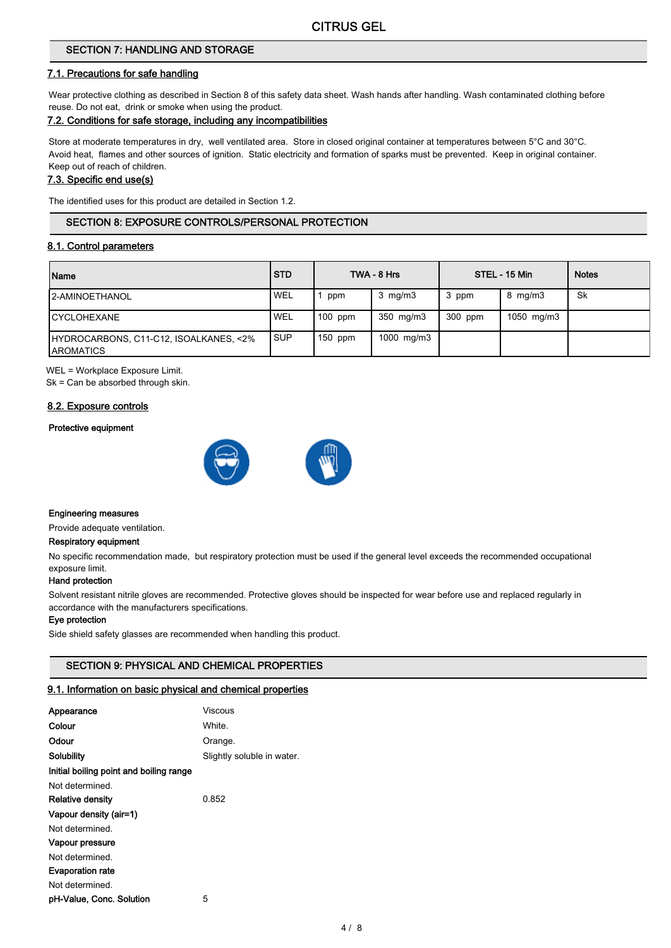# SECTION 7: HANDLING AND STORAGE

#### 7.1. Precautions for safe handling

Wear protective clothing as described in Section 8 of this safety data sheet. Wash hands after handling. Wash contaminated clothing before reuse. Do not eat, drink or smoke when using the product.

# 7.2. Conditions for safe storage, including any incompatibilities

Store at moderate temperatures in dry, well ventilated area. Store in closed original container at temperatures between 5°C and 30°C. Avoid heat, flames and other sources of ignition. Static electricity and formation of sparks must be prevented. Keep in original container. Keep out of reach of children.

#### 7.3. Specific end use(s)

The identified uses for this product are detailed in Section 1.2.

## SECTION 8: EXPOSURE CONTROLS/PERSONAL PROTECTION

#### 8.1. Control parameters

| Name                                                       | <b>STD</b> |           | TWA - 8 Hrs      |         | STEL - 15 Min    | <b>Notes</b> |
|------------------------------------------------------------|------------|-----------|------------------|---------|------------------|--------------|
| <b>I2-AMINOETHANOL</b>                                     | <b>WEL</b> | ppm       | $3 \text{ mg/m}$ | 3 ppm   | $8 \text{ mg/m}$ | <b>Sk</b>    |
| <b>ICYCLOHEXANE</b>                                        | <b>WEL</b> | $100$ ppm | 350 mg/m3        | 300 ppm | 1050 mg/m3       |              |
| HYDROCARBONS, C11-C12, ISOALKANES, <2%<br><b>AROMATICS</b> | <b>SUP</b> | $150$ ppm | 1000 mg/m3       |         |                  |              |

WEL = Workplace Exposure Limit.

Sk = Can be absorbed through skin.

#### 8.2. Exposure controls

#### Protective equipment



#### Engineering measures

Provide adequate ventilation.

#### Respiratory equipment

No specific recommendation made, but respiratory protection must be used if the general level exceeds the recommended occupational exposure limit.

#### Hand protection

Solvent resistant nitrile gloves are recommended. Protective gloves should be inspected for wear before use and replaced regularly in accordance with the manufacturers specifications.

#### Eye protection

Side shield safety glasses are recommended when handling this product.

# SECTION 9: PHYSICAL AND CHEMICAL PROPERTIES

#### 9.1. Information on basic physical and chemical properties

| Appearance                              | Viscous                    |
|-----------------------------------------|----------------------------|
| Colour                                  | White.                     |
| Odour                                   | Orange.                    |
| Solubility                              | Slightly soluble in water. |
| Initial boiling point and boiling range |                            |
| Not determined.                         |                            |
| <b>Relative density</b>                 | 0.852                      |
| Vapour density (air=1)                  |                            |
| Not determined.                         |                            |
| Vapour pressure                         |                            |
| Not determined.                         |                            |
| <b>Evaporation rate</b>                 |                            |
| Not determined                          |                            |
| pH-Value, Conc. Solution                | 5                          |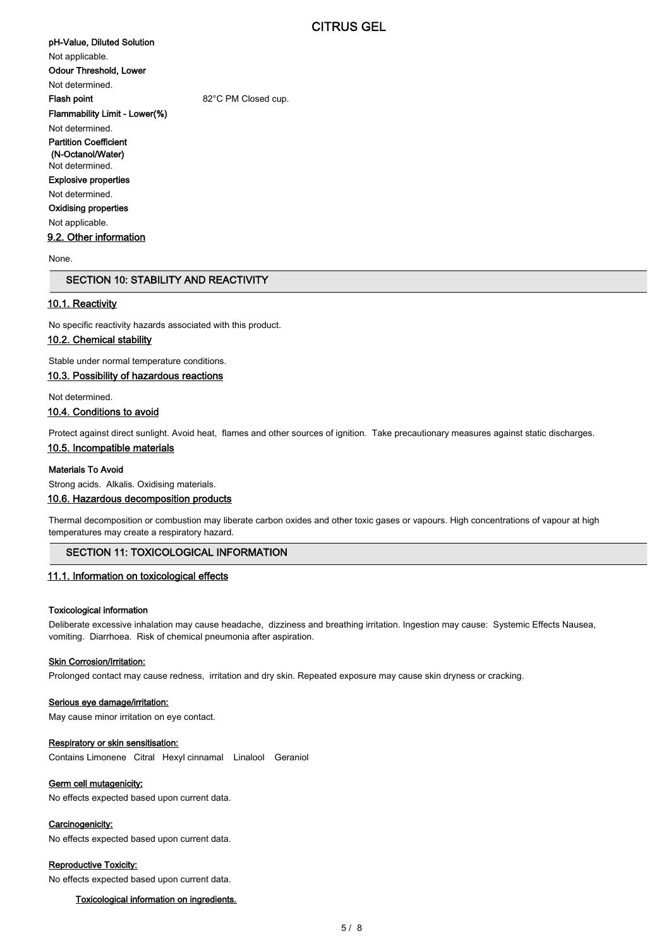# pH-Value, Diluted Solution

Not applicable.

Odour Threshold, Lower

Not determined. Flash point 62°C PM Closed cup.

Flammability Limit - Lower(%)

Not determined.

Partition Coefficient (N-Octanol/Water)

#### Not determined. Explosive properties

Not determined.

# Oxidising properties

Not applicable.

## 9.2. Other information

None.

# SECTION 10: STABILITY AND REACTIVITY

#### 10.1. Reactivity

No specific reactivity hazards associated with this product.

# 10.2. Chemical stability

Stable under normal temperature conditions.

#### 10.3. Possibility of hazardous reactions

Not determined.

#### 10.4. Conditions to avoid

Protect against direct sunlight. Avoid heat, flames and other sources of ignition. Take precautionary measures against static discharges.

## 10.5. Incompatible materials

#### Materials To Avoid

Strong acids. Alkalis. Oxidising materials.

#### 10.6. Hazardous decomposition products

Thermal decomposition or combustion may liberate carbon oxides and other toxic gases or vapours. High concentrations of vapour at high temperatures may create a respiratory hazard.

# SECTION 11: TOXICOLOGICAL INFORMATION

#### 11.1. Information on toxicological effects

#### Toxicological information

Deliberate excessive inhalation may cause headache, dizziness and breathing irritation. Ingestion may cause: Systemic Effects Nausea, vomiting. Diarrhoea. Risk of chemical pneumonia after aspiration.

## **Skin Corrosion/Irritation:**

Prolonged contact may cause redness, irritation and dry skin. Repeated exposure may cause skin dryness or cracking.

#### Serious eye damage/irritation:

May cause minor irritation on eye contact.

#### Respiratory or skin sensitisation:

Contains Limonene Citral Hexyl cinnamal Linalool Geraniol

#### Germ cell mutagenicity:

No effects expected based upon current data.

#### Carcinogenicity:

No effects expected based upon current data.

#### Reproductive Toxicity:

No effects expected based upon current data.

#### Toxicological information on ingredients.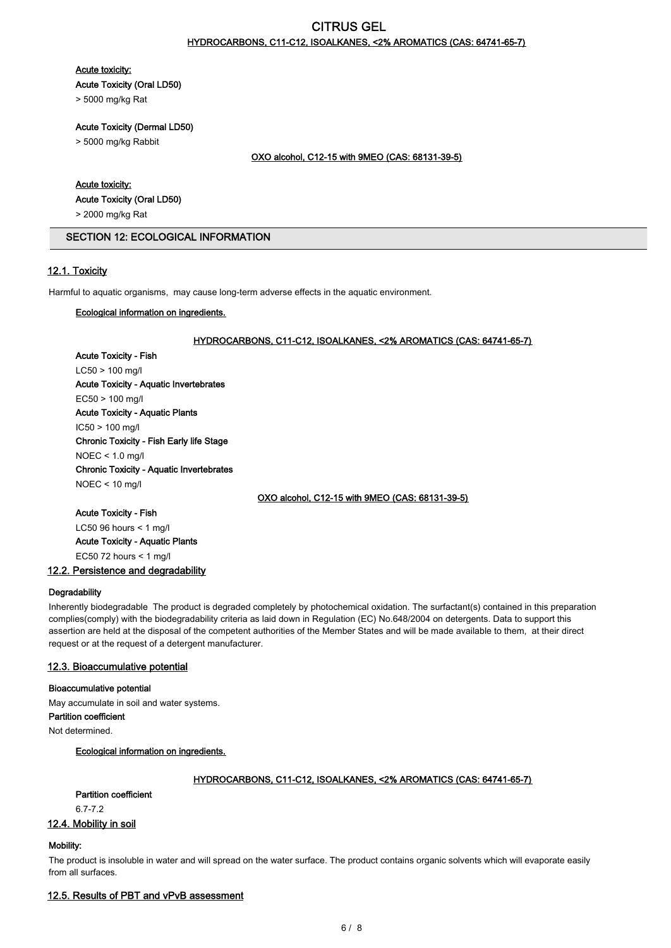# CITRUS GEL HYDROCARBONS, C11-C12, ISOALKANES, <2% AROMATICS (CAS: 64741-65-7)

#### Acute toxicity:

Acute Toxicity (Oral LD50)

> 5000 mg/kg Rat

# Acute Toxicity (Dermal LD50)

> 5000 mg/kg Rabbit

#### OXO alcohol, C12-15 with 9MEO (CAS: 68131-39-5)

#### Acute toxicity:

Acute Toxicity (Oral LD50)

> 2000 mg/kg Rat

#### SECTION 12: ECOLOGICAL INFORMATION

# 12.1. Toxicity

Harmful to aquatic organisms, may cause long-term adverse effects in the aquatic environment.

#### Ecological information on ingredients.

#### HYDROCARBONS, C11-C12, ISOALKANES, <2% AROMATICS (CAS: 64741-65-7)

Acute Toxicity - Fish LC50 > 100 mg/l Acute Toxicity - Aquatic Invertebrates EC50 > 100 mg/l Acute Toxicity - Aquatic Plants IC50 > 100 mg/l Chronic Toxicity - Fish Early life Stage NOEC < 1.0 mg/l Chronic Toxicity - Aquatic Invertebrates NOEC < 10 mg/l

OXO alcohol, C12-15 with 9MEO (CAS: 68131-39-5)

# Acute Toxicity - Fish LC50 96 hours < 1 mg/l

Acute Toxicity - Aquatic Plants EC50 72 hours  $\leq 1$  mg/l

## 12.2. Persistence and degradability

#### **Degradability**

Inherently biodegradable The product is degraded completely by photochemical oxidation. The surfactant(s) contained in this preparation complies(comply) with the biodegradability criteria as laid down in Regulation (EC) No.648/2004 on detergents. Data to support this assertion are held at the disposal of the competent authorities of the Member States and will be made available to them, at their direct request or at the request of a detergent manufacturer.

# 12.3. Bioaccumulative potential

#### Bioaccumulative potential

May accumulate in soil and water systems.

Partition coefficient

Not determined.

# Ecological information on ingredients.

#### HYDROCARBONS, C11-C12, ISOALKANES, <2% AROMATICS (CAS: 64741-65-7)

# Partition coefficient

6.7-7.2

#### 12.4. Mobility in soil

#### Mobility:

The product is insoluble in water and will spread on the water surface. The product contains organic solvents which will evaporate easily from all surfaces.

## 12.5. Results of PBT and vPvB assessment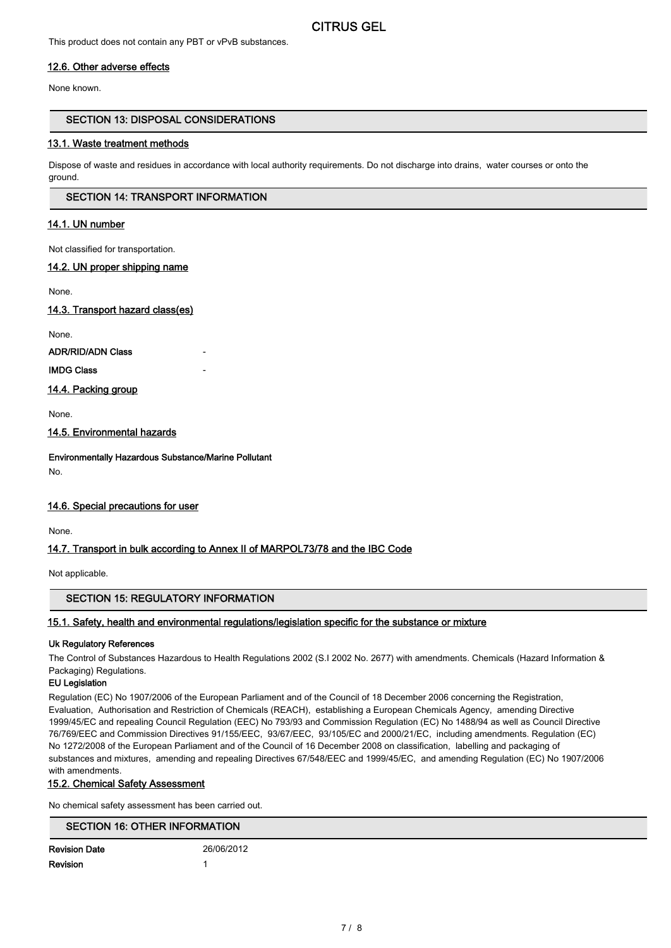This product does not contain any PBT or vPvB substances.

## 12.6. Other adverse effects

None known.

# SECTION 13: DISPOSAL CONSIDERATIONS

#### 13.1. Waste treatment methods

Dispose of waste and residues in accordance with local authority requirements. Do not discharge into drains, water courses or onto the ground.

## SECTION 14: TRANSPORT INFORMATION

## 14.1. UN number

Not classified for transportation.

#### 14.2. UN proper shipping name

None.

#### 14.3. Transport hazard class(es)

None.

ADR/RID/ADN Class

## **IMDG Class**

14.4. Packing group

None.

14.5. Environmental hazards

Environmentally Hazardous Substance/Marine Pollutant

No.

# 14.6. Special precautions for user

None.

# 14.7. Transport in bulk according to Annex II of MARPOL73/78 and the IBC Code

Not applicable.

# SECTION 15: REGULATORY INFORMATION

# 15.1. Safety, health and environmental regulations/legislation specific for the substance or mixture

#### Uk Regulatory References

The Control of Substances Hazardous to Health Regulations 2002 (S.I 2002 No. 2677) with amendments. Chemicals (Hazard Information & Packaging) Regulations.

#### EU Legislation

Regulation (EC) No 1907/2006 of the European Parliament and of the Council of 18 December 2006 concerning the Registration, Evaluation, Authorisation and Restriction of Chemicals (REACH), establishing a European Chemicals Agency, amending Directive 1999/45/EC and repealing Council Regulation (EEC) No 793/93 and Commission Regulation (EC) No 1488/94 as well as Council Directive 76/769/EEC and Commission Directives 91/155/EEC, 93/67/EEC, 93/105/EC and 2000/21/EC, including amendments. Regulation (EC) No 1272/2008 of the European Parliament and of the Council of 16 December 2008 on classification, labelling and packaging of substances and mixtures, amending and repealing Directives 67/548/EEC and 1999/45/EC, and amending Regulation (EC) No 1907/2006 with amendments.

#### 15.2. Chemical Safety Assessment

No chemical safety assessment has been carried out.

# SECTION 16: OTHER INFORMATION

| <b>Revision Date</b> | 26/06/2012 |
|----------------------|------------|
| Revision             |            |